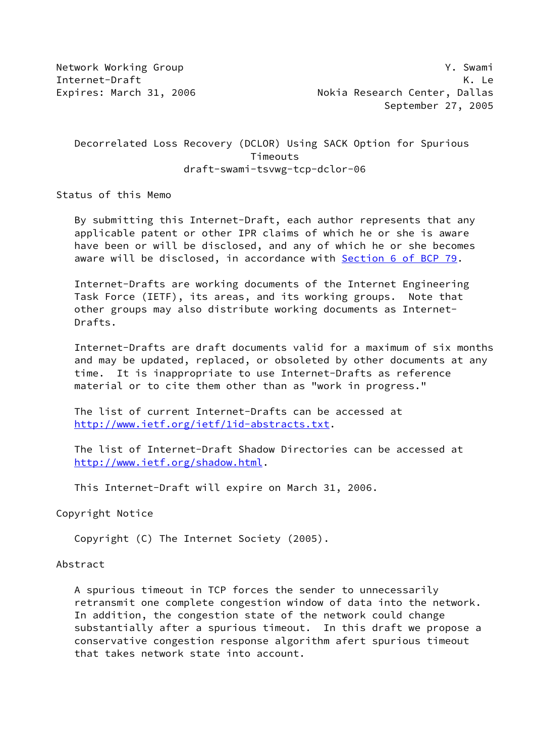# Decorrelated Loss Recovery (DCLOR) Using SACK Option for Spurious Timeouts draft-swami-tsvwg-tcp-dclor-06

Status of this Memo

 By submitting this Internet-Draft, each author represents that any applicable patent or other IPR claims of which he or she is aware have been or will be disclosed, and any of which he or she becomes aware will be disclosed, in accordance with **Section [6 of BCP 79.](https://datatracker.ietf.org/doc/pdf/bcp79#section-6)** 

 Internet-Drafts are working documents of the Internet Engineering Task Force (IETF), its areas, and its working groups. Note that other groups may also distribute working documents as Internet- Drafts.

 Internet-Drafts are draft documents valid for a maximum of six months and may be updated, replaced, or obsoleted by other documents at any time. It is inappropriate to use Internet-Drafts as reference material or to cite them other than as "work in progress."

 The list of current Internet-Drafts can be accessed at <http://www.ietf.org/ietf/1id-abstracts.txt>.

 The list of Internet-Draft Shadow Directories can be accessed at <http://www.ietf.org/shadow.html>.

This Internet-Draft will expire on March 31, 2006.

Copyright Notice

Copyright (C) The Internet Society (2005).

### Abstract

 A spurious timeout in TCP forces the sender to unnecessarily retransmit one complete congestion window of data into the network. In addition, the congestion state of the network could change substantially after a spurious timeout. In this draft we propose a conservative congestion response algorithm afert spurious timeout that takes network state into account.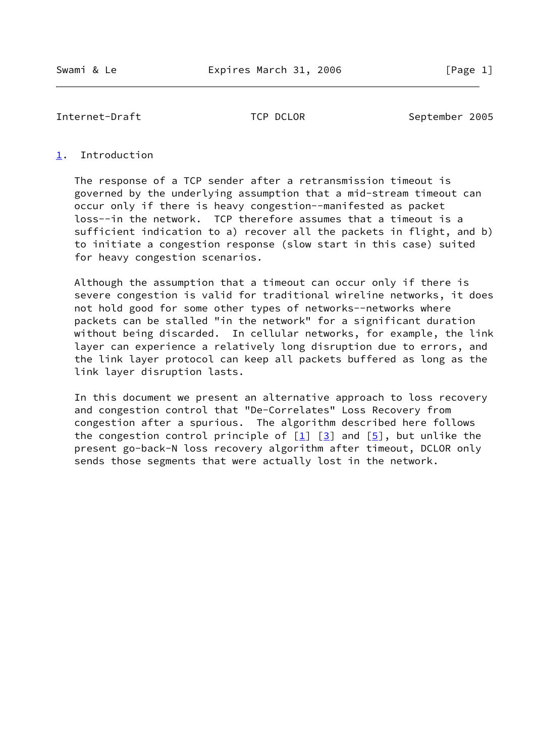#### <span id="page-1-0"></span>[1](#page-1-0). Introduction

 The response of a TCP sender after a retransmission timeout is governed by the underlying assumption that a mid-stream timeout can occur only if there is heavy congestion--manifested as packet loss--in the network. TCP therefore assumes that a timeout is a sufficient indication to a) recover all the packets in flight, and b) to initiate a congestion response (slow start in this case) suited for heavy congestion scenarios.

 Although the assumption that a timeout can occur only if there is severe congestion is valid for traditional wireline networks, it does not hold good for some other types of networks--networks where packets can be stalled "in the network" for a significant duration without being discarded. In cellular networks, for example, the link layer can experience a relatively long disruption due to errors, and the link layer protocol can keep all packets buffered as long as the link layer disruption lasts.

 In this document we present an alternative approach to loss recovery and congestion control that "De-Correlates" Loss Recovery from congestion after a spurious. The algorithm described here follows the congestion control principle of  $[1]$  $[1]$   $[3]$  $[3]$  and  $[5]$  $[5]$ , but unlike the present go-back-N loss recovery algorithm after timeout, DCLOR only sends those segments that were actually lost in the network.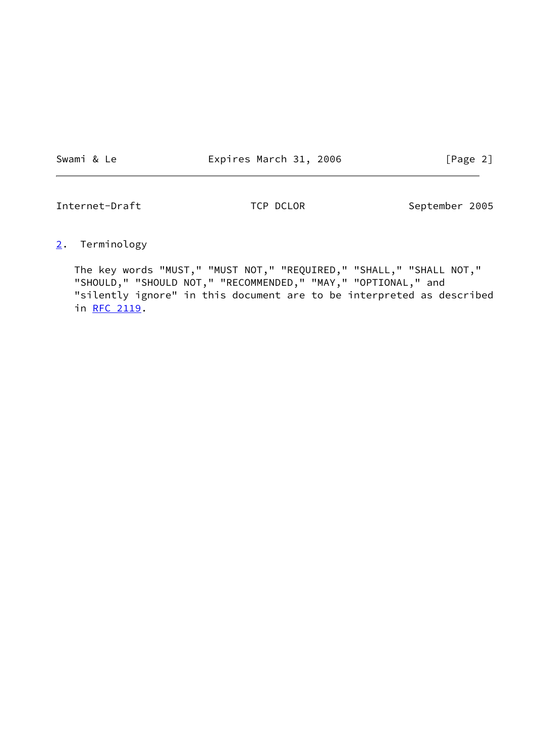Swami & Le **Expires March 31, 2006** [Page 2]

Internet-Draft TCP DCLOR September 2005

<span id="page-2-0"></span>[2](#page-2-0). Terminology

 The key words "MUST," "MUST NOT," "REQUIRED," "SHALL," "SHALL NOT," "SHOULD," "SHOULD NOT," "RECOMMENDED," "MAY," "OPTIONAL," and "silently ignore" in this document are to be interpreted as described in [RFC 2119.](https://datatracker.ietf.org/doc/pdf/rfc2119)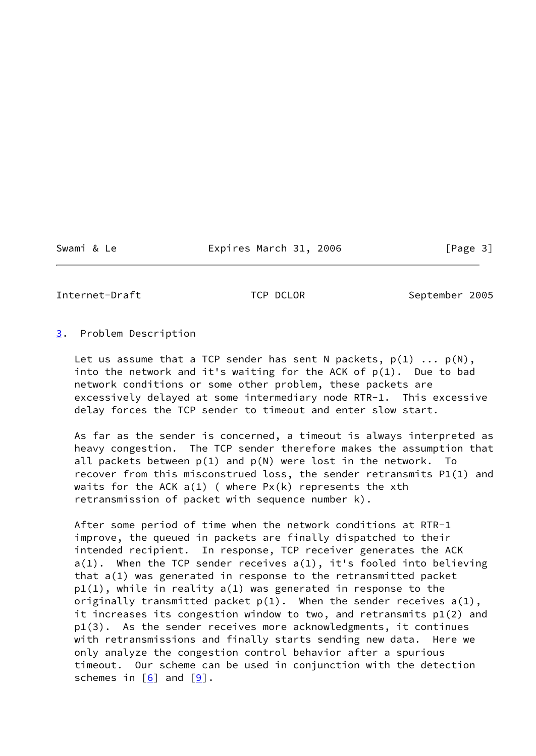Swami & Le Expires March 31, 2006 [Page 3]

Internet-Draft TCP DCLOR September 2005

#### <span id="page-3-0"></span>[3](#page-3-0). Problem Description

Let us assume that a TCP sender has sent N packets,  $p(1)$  ...  $p(N)$ , into the network and it's waiting for the ACK of  $p(1)$ . Due to bad network conditions or some other problem, these packets are excessively delayed at some intermediary node RTR-1. This excessive delay forces the TCP sender to timeout and enter slow start.

 As far as the sender is concerned, a timeout is always interpreted as heavy congestion. The TCP sender therefore makes the assumption that all packets between  $p(1)$  and  $p(N)$  were lost in the network. To recover from this misconstrued loss, the sender retransmits P1(1) and waits for the ACK  $a(1)$  (where  $Px(k)$  represents the xth retransmission of packet with sequence number k).

 After some period of time when the network conditions at RTR-1 improve, the queued in packets are finally dispatched to their intended recipient. In response, TCP receiver generates the ACK a(1). When the TCP sender receives a(1), it's fooled into believing that a(1) was generated in response to the retransmitted packet p1(1), while in reality a(1) was generated in response to the originally transmitted packet  $p(1)$ . When the sender receives  $a(1)$ , it increases its congestion window to two, and retransmits p1(2) and p1(3). As the sender receives more acknowledgments, it continues with retransmissions and finally starts sending new data. Here we only analyze the congestion control behavior after a spurious timeout. Our scheme can be used in conjunction with the detection schemes in  $[6]$  $[6]$  and  $[9]$  $[9]$ .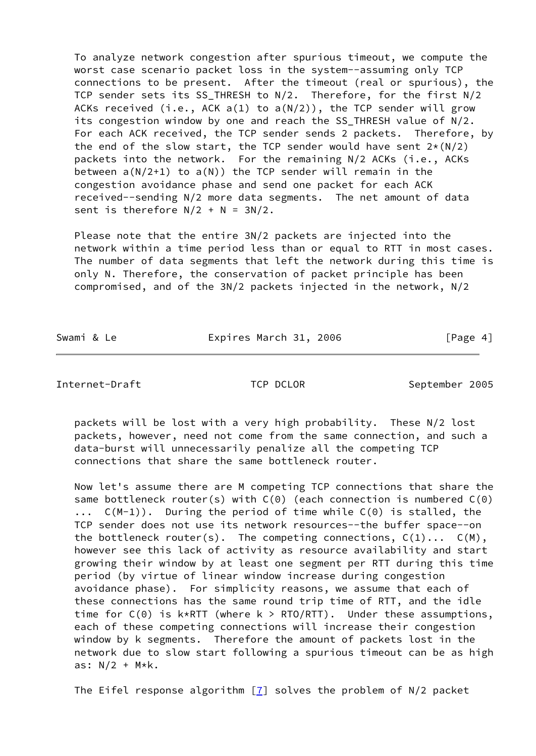To analyze network congestion after spurious timeout, we compute the worst case scenario packet loss in the system--assuming only TCP connections to be present. After the timeout (real or spurious), the TCP sender sets its SS\_THRESH to N/2. Therefore, for the first N/2 ACKs received (i.e., ACK  $a(1)$  to  $a(N/2)$ ), the TCP sender will grow its congestion window by one and reach the SS THRESH value of N/2. For each ACK received, the TCP sender sends 2 packets. Therefore, by the end of the slow start, the TCP sender would have sent  $2*(N/2)$  packets into the network. For the remaining N/2 ACKs (i.e., ACKs between  $a(N/2+1)$  to  $a(N)$ ) the TCP sender will remain in the congestion avoidance phase and send one packet for each ACK received--sending N/2 more data segments. The net amount of data sent is therefore  $N/2 + N = 3N/2$ .

 Please note that the entire 3N/2 packets are injected into the network within a time period less than or equal to RTT in most cases. The number of data segments that left the network during this time is only N. Therefore, the conservation of packet principle has been compromised, and of the 3N/2 packets injected in the network, N/2

Swami & Le **Expires March 31, 2006** [Page 4]

Internet-Draft TCP DCLOR September 2005

 packets will be lost with a very high probability. These N/2 lost packets, however, need not come from the same connection, and such a data-burst will unnecessarily penalize all the competing TCP connections that share the same bottleneck router.

 Now let's assume there are M competing TCP connections that share the same bottleneck router(s) with  $C(\theta)$  (each connection is numbered  $C(\theta)$  ... C(M-1)). During the period of time while C(0) is stalled, the TCP sender does not use its network resources--the buffer space--on the bottleneck router(s). The competing connections,  $C(1) \ldots C(M)$ , however see this lack of activity as resource availability and start growing their window by at least one segment per RTT during this time period (by virtue of linear window increase during congestion avoidance phase). For simplicity reasons, we assume that each of these connections has the same round trip time of RTT, and the idle time for  $C(0)$  is  $k*RTT$  (where  $k > RTO/RTT$ ). Under these assumptions, each of these competing connections will increase their congestion window by k segments. Therefore the amount of packets lost in the network due to slow start following a spurious timeout can be as high as:  $N/2$  +  $M*k$ .

The Eifel response algorithm  $[7]$  solves the problem of N/2 packet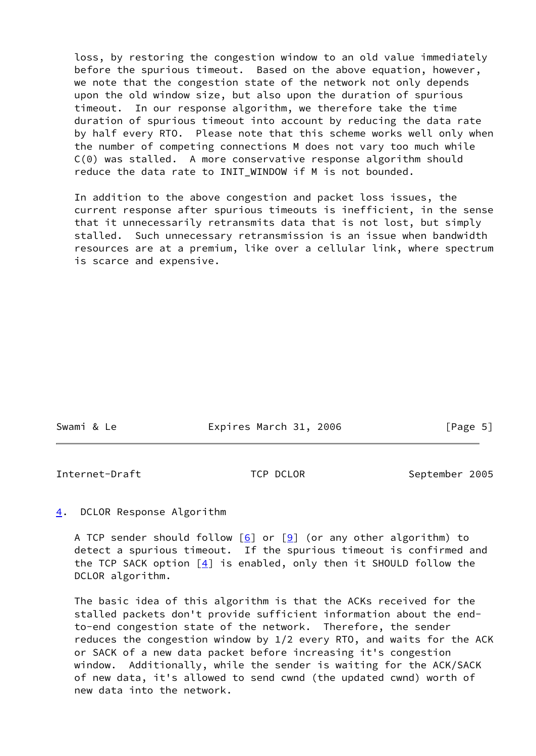loss, by restoring the congestion window to an old value immediately before the spurious timeout. Based on the above equation, however, we note that the congestion state of the network not only depends upon the old window size, but also upon the duration of spurious timeout. In our response algorithm, we therefore take the time duration of spurious timeout into account by reducing the data rate by half every RTO. Please note that this scheme works well only when the number of competing connections M does not vary too much while C(0) was stalled. A more conservative response algorithm should reduce the data rate to INIT WINDOW if M is not bounded.

 In addition to the above congestion and packet loss issues, the current response after spurious timeouts is inefficient, in the sense that it unnecessarily retransmits data that is not lost, but simply stalled. Such unnecessary retransmission is an issue when bandwidth resources are at a premium, like over a cellular link, where spectrum is scarce and expensive.

| Swami & Le | Expires March 31, 2006 | [Page 5] |
|------------|------------------------|----------|
|            |                        |          |

Internet-Draft TCP DCLOR September 2005

<span id="page-5-0"></span>[4](#page-5-0). DCLOR Response Algorithm

A TCP sender should follow  $[6]$  $[6]$  or  $[9]$  $[9]$  (or any other algorithm) to detect a spurious timeout. If the spurious timeout is confirmed and the TCP SACK option  $[4]$  $[4]$  is enabled, only then it SHOULD follow the DCLOR algorithm.

 The basic idea of this algorithm is that the ACKs received for the stalled packets don't provide sufficient information about the end to-end congestion state of the network. Therefore, the sender reduces the congestion window by 1/2 every RTO, and waits for the ACK or SACK of a new data packet before increasing it's congestion window. Additionally, while the sender is waiting for the ACK/SACK of new data, it's allowed to send cwnd (the updated cwnd) worth of new data into the network.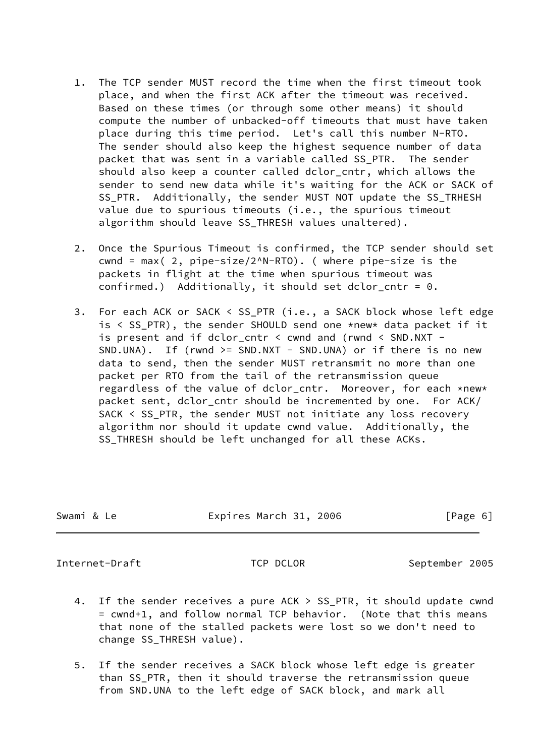- 1. The TCP sender MUST record the time when the first timeout took place, and when the first ACK after the timeout was received. Based on these times (or through some other means) it should compute the number of unbacked-off timeouts that must have taken place during this time period. Let's call this number N-RTO. The sender should also keep the highest sequence number of data packet that was sent in a variable called SS\_PTR. The sender should also keep a counter called dclor\_cntr, which allows the sender to send new data while it's waiting for the ACK or SACK of SS\_PTR. Additionally, the sender MUST NOT update the SS\_TRHESH value due to spurious timeouts (i.e., the spurious timeout algorithm should leave SS\_THRESH values unaltered).
- 2. Once the Spurious Timeout is confirmed, the TCP sender should set cwnd = max( 2, pipe-size/2^N-RTO). ( where pipe-size is the packets in flight at the time when spurious timeout was confirmed.) Additionally, it should set dclor cntr =  $0$ .
- 3. For each ACK or SACK < SS\_PTR (i.e., a SACK block whose left edge is < SS\_PTR), the sender SHOULD send one \*new\* data packet if it is present and if dclor\_cntr < cwnd and (rwnd < SND.NXT - SND.UNA). If (rwnd >= SND.NXT - SND.UNA) or if there is no new data to send, then the sender MUST retransmit no more than one packet per RTO from the tail of the retransmission queue regardless of the value of dclor\_cntr. Moreover, for each \*new\* packet sent, dclor\_cntr should be incremented by one. For ACK/ SACK < SS\_PTR, the sender MUST not initiate any loss recovery algorithm nor should it update cwnd value. Additionally, the SS\_THRESH should be left unchanged for all these ACKs.

| Swami & Le | Expires March 31, 2006 | [Page 6] |
|------------|------------------------|----------|
|            |                        |          |

- 4. If the sender receives a pure ACK > SS\_PTR, it should update cwnd = cwnd+1, and follow normal TCP behavior. (Note that this means that none of the stalled packets were lost so we don't need to change SS\_THRESH value).
- 5. If the sender receives a SACK block whose left edge is greater than SS\_PTR, then it should traverse the retransmission queue from SND.UNA to the left edge of SACK block, and mark all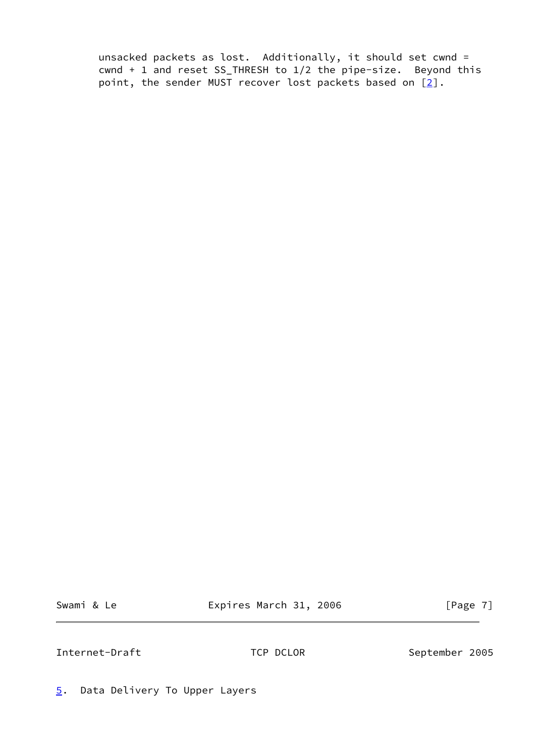unsacked packets as lost. Additionally, it should set cwnd = cwnd + 1 and reset SS\_THRESH to 1/2 the pipe-size. Beyond this point, the sender MUST recover lost packets based on  $[2]$ .

Swami & Le **Expires March 31, 2006** [Page 7]

Internet-Draft TCP DCLOR September 2005

<span id="page-7-0"></span>[5](#page-7-0). Data Delivery To Upper Layers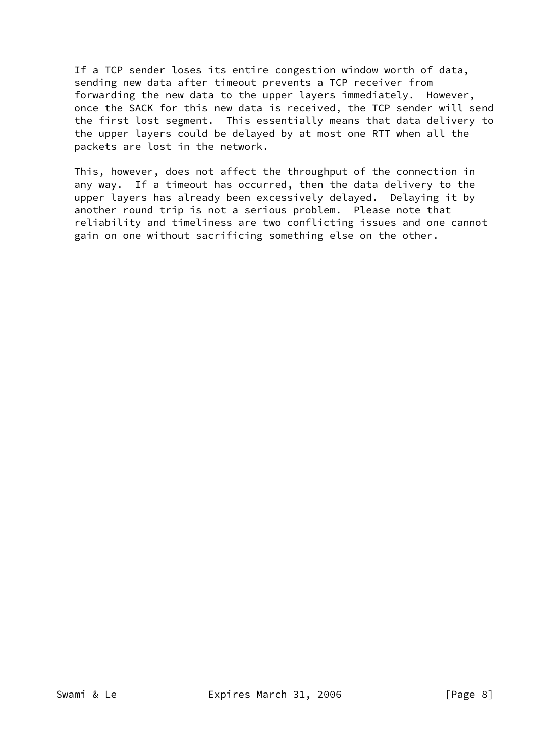If a TCP sender loses its entire congestion window worth of data, sending new data after timeout prevents a TCP receiver from forwarding the new data to the upper layers immediately. However, once the SACK for this new data is received, the TCP sender will send the first lost segment. This essentially means that data delivery to the upper layers could be delayed by at most one RTT when all the packets are lost in the network.

 This, however, does not affect the throughput of the connection in any way. If a timeout has occurred, then the data delivery to the upper layers has already been excessively delayed. Delaying it by another round trip is not a serious problem. Please note that reliability and timeliness are two conflicting issues and one cannot gain on one without sacrificing something else on the other.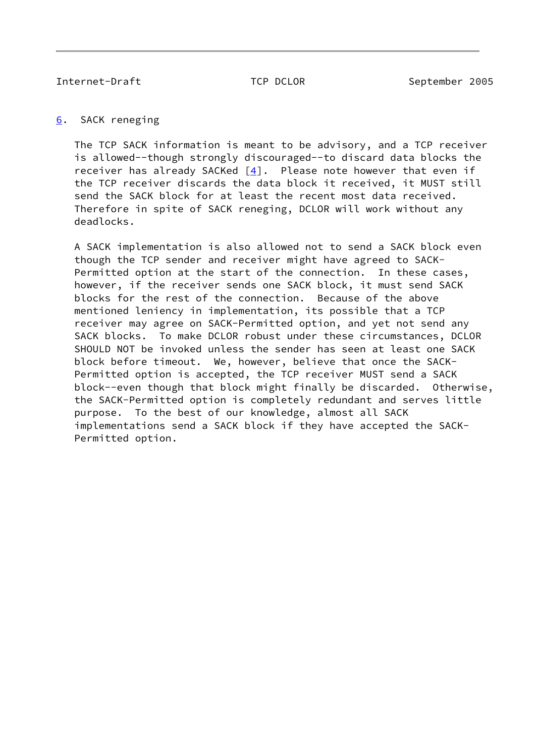## <span id="page-9-0"></span>[6](#page-9-0). SACK reneging

 The TCP SACK information is meant to be advisory, and a TCP receiver is allowed--though strongly discouraged--to discard data blocks the receiver has already SACKed  $[4]$  $[4]$ . Please note however that even if the TCP receiver discards the data block it received, it MUST still send the SACK block for at least the recent most data received. Therefore in spite of SACK reneging, DCLOR will work without any deadlocks.

 A SACK implementation is also allowed not to send a SACK block even though the TCP sender and receiver might have agreed to SACK- Permitted option at the start of the connection. In these cases, however, if the receiver sends one SACK block, it must send SACK blocks for the rest of the connection. Because of the above mentioned leniency in implementation, its possible that a TCP receiver may agree on SACK-Permitted option, and yet not send any SACK blocks. To make DCLOR robust under these circumstances, DCLOR SHOULD NOT be invoked unless the sender has seen at least one SACK block before timeout. We, however, believe that once the SACK- Permitted option is accepted, the TCP receiver MUST send a SACK block--even though that block might finally be discarded. Otherwise, the SACK-Permitted option is completely redundant and serves little purpose. To the best of our knowledge, almost all SACK implementations send a SACK block if they have accepted the SACK- Permitted option.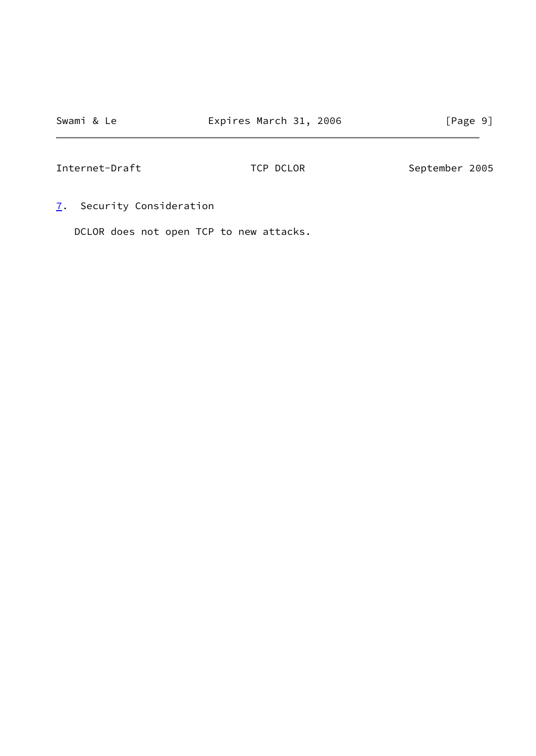<span id="page-10-0"></span>[7](#page-10-0). Security Consideration

DCLOR does not open TCP to new attacks.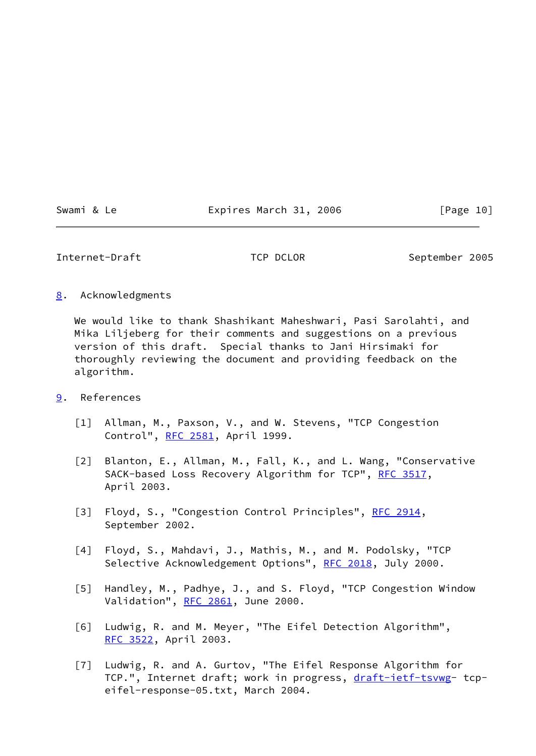Swami & Le **Expires March 31, 2006** [Page 10]

Internet-Draft TCP DCLOR September 2005

<span id="page-11-7"></span>[8](#page-11-7). Acknowledgments

 We would like to thank Shashikant Maheshwari, Pasi Sarolahti, and Mika Liljeberg for their comments and suggestions on a previous version of this draft. Special thanks to Jani Hirsimaki for thoroughly reviewing the document and providing feedback on the algorithm.

- <span id="page-11-8"></span><span id="page-11-6"></span><span id="page-11-5"></span><span id="page-11-4"></span><span id="page-11-3"></span><span id="page-11-2"></span><span id="page-11-1"></span><span id="page-11-0"></span>[9](#page-11-8). References
	- [1] Allman, M., Paxson, V., and W. Stevens, "TCP Congestion Control", [RFC 2581,](https://datatracker.ietf.org/doc/pdf/rfc2581) April 1999.
	- [2] Blanton, E., Allman, M., Fall, K., and L. Wang, "Conservative SACK-based Loss Recovery Algorithm for TCP", [RFC 3517](https://datatracker.ietf.org/doc/pdf/rfc3517), April 2003.
	- [3] Floyd, S., "Congestion Control Principles", [RFC 2914](https://datatracker.ietf.org/doc/pdf/rfc2914), September 2002.
	- [4] Floyd, S., Mahdavi, J., Mathis, M., and M. Podolsky, "TCP Selective Acknowledgement Options", [RFC 2018](https://datatracker.ietf.org/doc/pdf/rfc2018), July 2000.
	- [5] Handley, M., Padhye, J., and S. Floyd, "TCP Congestion Window Validation", [RFC 2861](https://datatracker.ietf.org/doc/pdf/rfc2861), June 2000.
	- [6] Ludwig, R. and M. Meyer, "The Eifel Detection Algorithm", [RFC 3522](https://datatracker.ietf.org/doc/pdf/rfc3522), April 2003.
	- [7] Ludwig, R. and A. Gurtov, "The Eifel Response Algorithm for TCP.", Internet draft; work in progress, [draft-ietf-tsvwg](https://datatracker.ietf.org/doc/pdf/draft-ietf-tsvwg)- tcpeifel-response-05.txt, March 2004.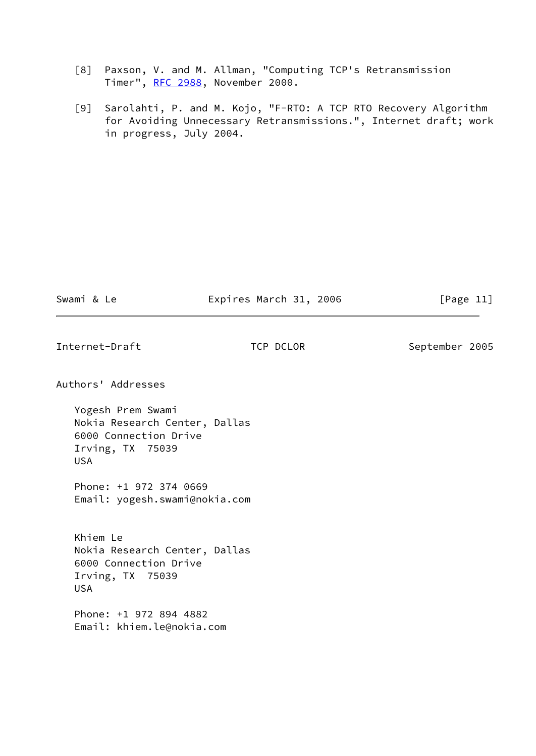- [8] Paxson, V. and M. Allman, "Computing TCP's Retransmission Timer", [RFC 2988](https://datatracker.ietf.org/doc/pdf/rfc2988), November 2000.
- <span id="page-12-0"></span> [9] Sarolahti, P. and M. Kojo, "F-RTO: A TCP RTO Recovery Algorithm for Avoiding Unnecessary Retransmissions.", Internet draft; work in progress, July 2004.

| Swami & Le |  |  |
|------------|--|--|
|            |  |  |

Swami & Le **Expires March 31, 2006** [Page 11]

Internet-Draft TCP DCLOR September 2005

Authors' Addresses

 Yogesh Prem Swami Nokia Research Center, Dallas 6000 Connection Drive Irving, TX 75039 USA

 Phone: +1 972 374 0669 Email: yogesh.swami@nokia.com

 Khiem Le Nokia Research Center, Dallas 6000 Connection Drive Irving, TX 75039 USA

 Phone: +1 972 894 4882 Email: khiem.le@nokia.com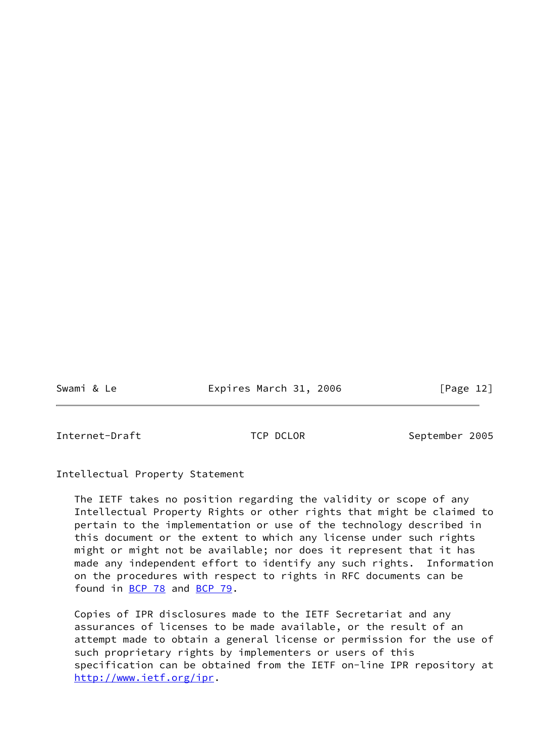Swami & Le **Expires March 31, 2006** [Page 12]

Internet-Draft TCP DCLOR September 2005

Intellectual Property Statement

 The IETF takes no position regarding the validity or scope of any Intellectual Property Rights or other rights that might be claimed to pertain to the implementation or use of the technology described in this document or the extent to which any license under such rights might or might not be available; nor does it represent that it has made any independent effort to identify any such rights. Information on the procedures with respect to rights in RFC documents can be found in [BCP 78](https://datatracker.ietf.org/doc/pdf/bcp78) and [BCP 79](https://datatracker.ietf.org/doc/pdf/bcp79).

 Copies of IPR disclosures made to the IETF Secretariat and any assurances of licenses to be made available, or the result of an attempt made to obtain a general license or permission for the use of such proprietary rights by implementers or users of this specification can be obtained from the IETF on-line IPR repository at <http://www.ietf.org/ipr>.